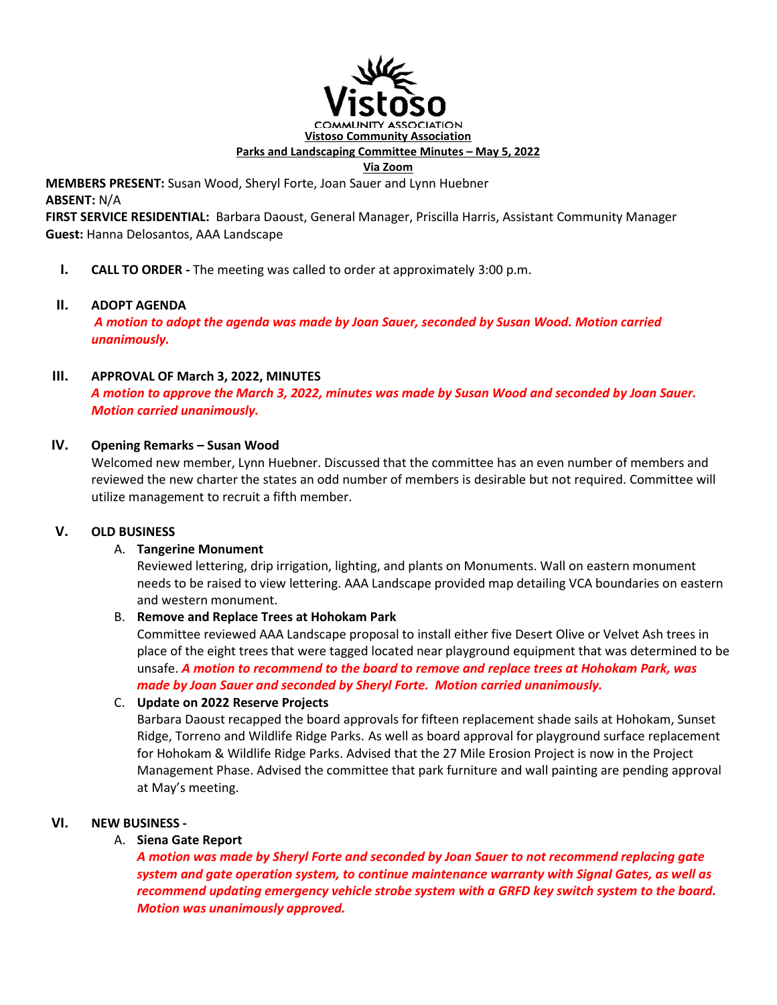

**Parks and Landscaping Committee Minutes – May 5, 2022** 

#### **Via Zoom**

**MEMBERS PRESENT:** Susan Wood, Sheryl Forte, Joan Sauer and Lynn Huebner **ABSENT:** N/A

**FIRST SERVICE RESIDENTIAL:** Barbara Daoust, General Manager, Priscilla Harris, Assistant Community Manager **Guest:** Hanna Delosantos, AAA Landscape

**I. CALL TO ORDER -** The meeting was called to order at approximately 3:00 p.m.

### **II. ADOPT AGENDA**

 *A motion to adopt the agenda was made by Joan Sauer, seconded by Susan Wood. Motion carried unanimously.*

### **III. APPROVAL OF March 3, 2022, MINUTES**

*A motion to approve the March 3, 2022, minutes was made by Susan Wood and seconded by Joan Sauer. Motion carried unanimously.* 

### **IV. Opening Remarks – Susan Wood**

Welcomed new member, Lynn Huebner. Discussed that the committee has an even number of members and reviewed the new charter the states an odd number of members is desirable but not required. Committee will utilize management to recruit a fifth member.

### **V. OLD BUSINESS**

### A. **Tangerine Monument**

Reviewed lettering, drip irrigation, lighting, and plants on Monuments. Wall on eastern monument needs to be raised to view lettering. AAA Landscape provided map detailing VCA boundaries on eastern and western monument.

### B. **Remove and Replace Trees at Hohokam Park**

Committee reviewed AAA Landscape proposal to install either five Desert Olive or Velvet Ash trees in place of the eight trees that were tagged located near playground equipment that was determined to be unsafe. *A motion to recommend to the board to remove and replace trees at Hohokam Park, was made by Joan Sauer and seconded by Sheryl Forte. Motion carried unanimously.* 

### C. **Update on 2022 Reserve Projects**

Barbara Daoust recapped the board approvals for fifteen replacement shade sails at Hohokam, Sunset Ridge, Torreno and Wildlife Ridge Parks. As well as board approval for playground surface replacement for Hohokam & Wildlife Ridge Parks. Advised that the 27 Mile Erosion Project is now in the Project Management Phase. Advised the committee that park furniture and wall painting are pending approval at May's meeting.

### **VI. NEW BUSINESS -**

### A. **Siena Gate Report**

*A motion was made by Sheryl Forte and seconded by Joan Sauer to not recommend replacing gate system and gate operation system, to continue maintenance warranty with Signal Gates, as well as recommend updating emergency vehicle strobe system with a GRFD key switch system to the board. Motion was unanimously approved.*